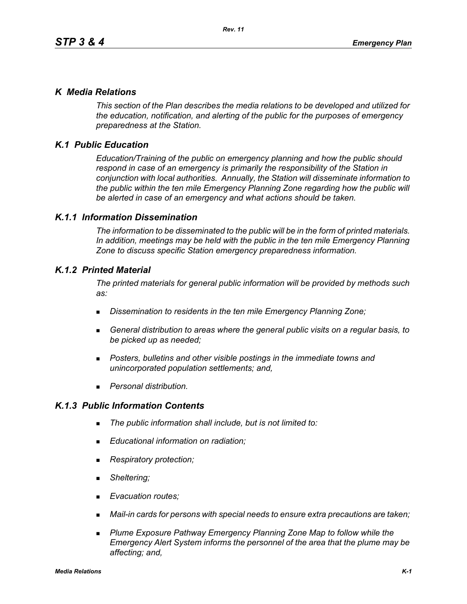## *K Media Relations*

*This section of the Plan describes the media relations to be developed and utilized for the education, notification, and alerting of the public for the purposes of emergency preparedness at the Station.*

# *K.1 Public Education*

*Education/Training of the public on emergency planning and how the public should respond in case of an emergency is primarily the responsibility of the Station in conjunction with local authorities. Annually, the Station will disseminate information to the public within the ten mile Emergency Planning Zone regarding how the public will be alerted in case of an emergency and what actions should be taken.* 

## *K.1.1 Information Dissemination*

*The information to be disseminated to the public will be in the form of printed materials. In addition, meetings may be held with the public in the ten mile Emergency Planning Zone to discuss specific Station emergency preparedness information.* 

## *K.1.2 Printed Material*

*The printed materials for general public information will be provided by methods such as:* 

- *Dissemination to residents in the ten mile Emergency Planning Zone;*
- *General distribution to areas where the general public visits on a regular basis, to be picked up as needed;*
- *Posters, bulletins and other visible postings in the immediate towns and unincorporated population settlements; and,*
- *Personal distribution.*

## *K.1.3 Public Information Contents*

- *The public information shall include, but is not limited to:*
- *Educational information on radiation;*
- *Respiratory protection;*
- *Sheltering;*
- *Evacuation routes;*
- *Mail-in cards for persons with special needs to ensure extra precautions are taken;*
- **Plume Exposure Pathway Emergency Planning Zone Map to follow while the** *Emergency Alert System informs the personnel of the area that the plume may be affecting; and,*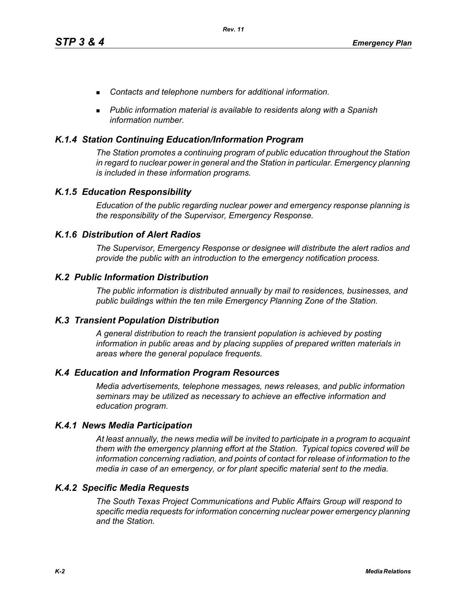- *Contacts and telephone numbers for additional information.*
- *Public information material is available to residents along with a Spanish information number.*

## *K.1.4 Station Continuing Education/Information Program*

*The Station promotes a continuing program of public education throughout the Station in regard to nuclear power in general and the Station in particular. Emergency planning is included in these information programs.* 

### *K.1.5 Education Responsibility*

*Education of the public regarding nuclear power and emergency response planning is the responsibility of the Supervisor, Emergency Response.* 

## *K.1.6 Distribution of Alert Radios*

*The Supervisor, Emergency Response or designee will distribute the alert radios and provide the public with an introduction to the emergency notification process.* 

### *K.2 Public Information Distribution*

*The public information is distributed annually by mail to residences, businesses, and public buildings within the ten mile Emergency Planning Zone of the Station.*

#### *K.3 Transient Population Distribution*

*A general distribution to reach the transient population is achieved by posting information in public areas and by placing supplies of prepared written materials in areas where the general populace frequents.* 

#### *K.4 Education and Information Program Resources*

*Media advertisements, telephone messages, news releases, and public information seminars may be utilized as necessary to achieve an effective information and education program.* 

#### *K.4.1 News Media Participation*

*At least annually, the news media will be invited to participate in a program to acquaint them with the emergency planning effort at the Station. Typical topics covered will be information concerning radiation, and points of contact for release of information to the media in case of an emergency, or for plant specific material sent to the media.*

#### *K.4.2 Specific Media Requests*

*The South Texas Project Communications and Public Affairs Group will respond to specific media requests for information concerning nuclear power emergency planning and the Station.*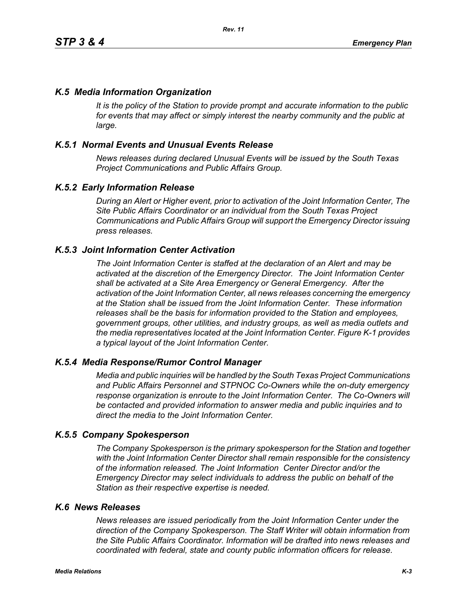# *K.5 Media Information Organization*

*It is the policy of the Station to provide prompt and accurate information to the public*  for events that may affect or simply interest the nearby community and the public at *large.* 

# *K.5.1 Normal Events and Unusual Events Release*

*News releases during declared Unusual Events will be issued by the South Texas Project Communications and Public Affairs Group.* 

## *K.5.2 Early Information Release*

*During an Alert or Higher event, prior to activation of the Joint Information Center, The Site Public Affairs Coordinator or an individual from the South Texas Project Communications and Public Affairs Group will support the Emergency Director issuing press releases.* 

## *K.5.3 Joint Information Center Activation*

*The Joint Information Center is staffed at the declaration of an Alert and may be activated at the discretion of the Emergency Director. The Joint Information Center shall be activated at a Site Area Emergency or General Emergency. After the activation of the Joint Information Center, all news releases concerning the emergency at the Station shall be issued from the Joint Information Center. These information releases shall be the basis for information provided to the Station and employees, government groups, other utilities, and industry groups, as well as media outlets and the media representatives located at the Joint Information Center. Figure K-1 provides a typical layout of the Joint Information Center.* 

## *K.5.4 Media Response/Rumor Control Manager*

*Media and public inquiries will be handled by the South Texas Project Communications and Public Affairs Personnel and STPNOC Co-Owners while the on-duty emergency response organization is enroute to the Joint Information Center. The Co-Owners will be contacted and provided information to answer media and public inquiries and to direct the media to the Joint Information Center.*

#### *K.5.5 Company Spokesperson*

*The Company Spokesperson is the primary spokesperson for the Station and together with the Joint Information Center Director shall remain responsible for the consistency of the information released. The Joint Information Center Director and/or the Emergency Director may select individuals to address the public on behalf of the Station as their respective expertise is needed.* 

### *K.6 News Releases*

*News releases are issued periodically from the Joint Information Center under the direction of the Company Spokesperson. The Staff Writer will obtain information from the Site Public Affairs Coordinator. Information will be drafted into news releases and coordinated with federal, state and county public information officers for release.*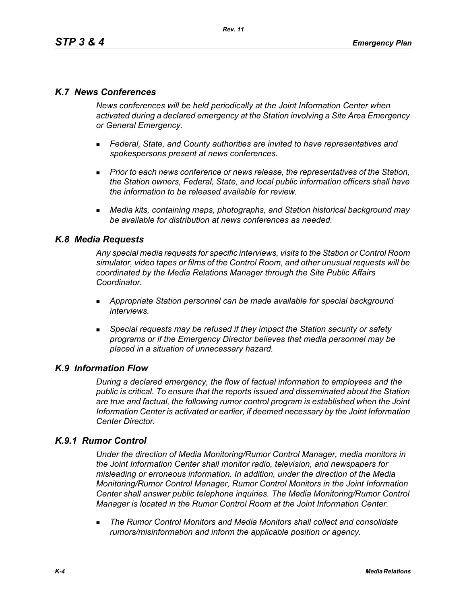# *K.7 News Conferences*

*News conferences will be held periodically at the Joint Information Center when activated during a declared emergency at the Station involving a Site Area Emergency or General Emergency.* 

- *Federal, State, and County authorities are invited to have representatives and spokespersons present at news conferences.*
- **Prior to each news conference or news release, the representatives of the Station,** *the Station owners, Federal, State, and local public information officers shall have the information to be released available for review.*
- *Media kits, containing maps, photographs, and Station historical background may be available for distribution at news conferences as needed.*

## *K.8 Media Requests*

*Any special media requests for specific interviews, visits to the Station or Control Room simulator, video tapes or films of the Control Room, and other unusual requests will be coordinated by the Media Relations Manager through the Site Public Affairs Coordinator.* 

- *Appropriate Station personnel can be made available for special background interviews.*
- *Special requests may be refused if they impact the Station security or safety programs or if the Emergency Director believes that media personnel may be placed in a situation of unnecessary hazard.*

## *K.9 Information Flow*

*During a declared emergency, the flow of factual information to employees and the public is critical. To ensure that the reports issued and disseminated about the Station are true and factual, the following rumor control program is established when the Joint Information Center is activated or earlier, if deemed necessary by the Joint Information Center Director.* 

# *K.9.1 Rumor Control*

*Under the direction of Media Monitoring/Rumor Control Manager, media monitors in the Joint Information Center shall monitor radio, television, and newspapers for misleading or erroneous information. In addition, under the direction of the Media Monitoring/Rumor Control Manager, Rumor Control Monitors in the Joint Information Center shall answer public telephone inquiries. The Media Monitoring/Rumor Control Manager is located in the Rumor Control Room at the Joint Information Center.* 

 *The Rumor Control Monitors and Media Monitors shall collect and consolidate rumors/misinformation and inform the applicable position or agency.*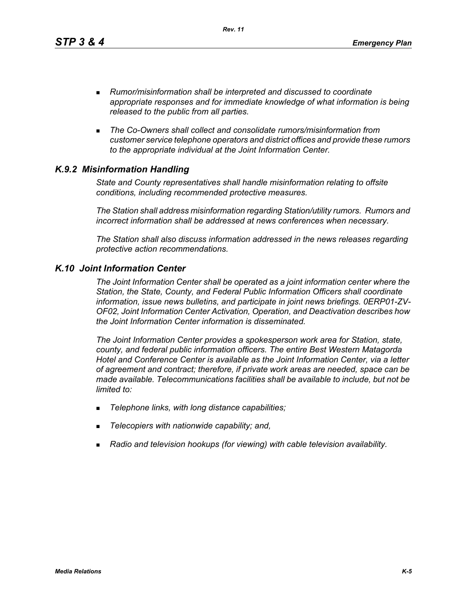*Rev. 11*

- *Rumor/misinformation shall be interpreted and discussed to coordinate appropriate responses and for immediate knowledge of what information is being released to the public from all parties.*
- *The Co-Owners shall collect and consolidate rumors/misinformation from customer service telephone operators and district offices and provide these rumors to the appropriate individual at the Joint Information Center.*

# *K.9.2 Misinformation Handling*

*State and County representatives shall handle misinformation relating to offsite conditions, including recommended protective measures.* 

*The Station shall address misinformation regarding Station/utility rumors. Rumors and incorrect information shall be addressed at news conferences when necessary.* 

*The Station shall also discuss information addressed in the news releases regarding protective action recommendations.* 

# *K.10 Joint Information Center*

*The Joint Information Center shall be operated as a joint information center where the Station, the State, County, and Federal Public Information Officers shall coordinate information, issue news bulletins, and participate in joint news briefings. 0ERP01-ZV-OF02, Joint Information Center Activation, Operation, and Deactivation describes how the Joint Information Center information is disseminated.*

*The Joint Information Center provides a spokesperson work area for Station, state, county, and federal public information officers. The entire Best Western Matagorda Hotel and Conference Center is available as the Joint Information Center, via a letter of agreement and contract; therefore, if private work areas are needed, space can be made available. Telecommunications facilities shall be available to include, but not be limited to:* 

- *Telephone links, with long distance capabilities;*
- *Telecopiers with nationwide capability; and,*
- *Radio and television hookups (for viewing) with cable television availability.*